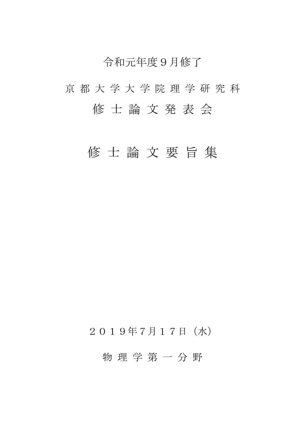## 令和元年度9月修了

# 京 都 大 学 大 学 院 理 学 研 究 科 修 士 論 文 発 表 会

## 修 士 論 文 要 旨 集

## 2019年7月17日(水)

## 物 理 学 第 一 分 野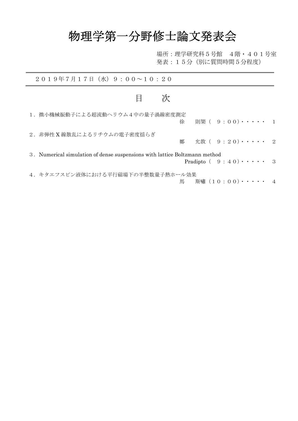## 物理学第一分野修士論文発表会

場所:理学研究科5号館 4階・401号室 発表:15分(別に質問時間5分程度)

| $20194777171 ($ 水) 9:00~10:20                                              |                                         |
|----------------------------------------------------------------------------|-----------------------------------------|
| 次<br>目                                                                     |                                         |
| 1. 微小機械振動子による超流動へリウム4中の量子渦線密度測定<br>徐                                       | 則榘 ( 9:00) $\cdots$ 1                   |
| 2. 非弾性 X線散乱によるリチウムの電子密度揺らぎ<br>鄭                                            | 允敦 ( 9 : 20)・・・・・ 2                     |
| 3. Numerical simulation of dense suspensions with lattice Boltzmann method | Pradipto $(9:40)\cdot\cdot\cdot\cdot 3$ |
| 4. キタエフスピン液体における平行磁場下の半整数量子熱ホール効果                                          | 斯嘯(10:00)・・・・・ 4<br>馬                   |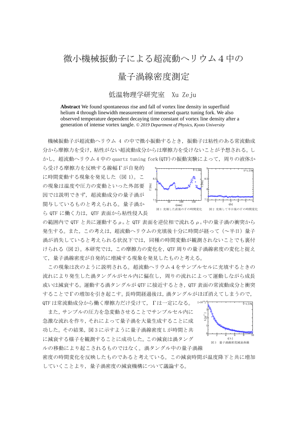## 微小機械振動子による超流動ヘリウム4中の

### 量子渦線密度測定

#### 低温物理学研究室 Xu Zeju

**Abstract** We found spontaneous rise and fall of vortex line density in superfluid helium 4 through linewidth measurement of immersed quartz tuning fork. We also observed temperature dependent decaying time constant of vortex line density after a generation of intense vortex tangle. *© 2019 Department of Physics, Kyoto University*

機械振動子が超流動ヘリウム 4 の中で微小振動するとき,振動子は粘性のある常流動成 分から摩擦力を受け,粘性がない超流動成分からは摩擦力を受けないことが予想される。し かし、超流動ヘリウム 4 中の quartz tuning fork (QTF) の振動実験によって、周りの液体か

ら受ける摩擦力を反映する線幅Γが自発的 に時間変動する現象を発見した(図1)。こ の現象は温度や圧力の変動といった外部要 因では説明できず,超流動成分の量子渦が 関与しているものと考えられる。量子渦か ら QTF に働く力は、QTF 表面から粘性侵入長



の範囲内で QTF と共に運動する  $ρ_0$  と QTF 表面を逆位相で流れる  $ρ_0$  中の量子渦の衝突から 発生する。また,この考えは,超流動ヘリウムの充填後十分に時間が経って(~半日)量子 渦が消失していると考えられる状況下では,同種の時間変動が観測されないことでも裏付 けられる(図 2)。本研究では,この摩擦力の変化を,QTF 周りの量子渦線密度の変化と捉え て,量子渦線密度が自発的に増減する現象を発見したものと考える。

 この現象は次のように説明される。超流動ヘリウム4をサンプルセルに充填するときの 流れにより発生した渦タングルがセル内に偏在し,周りの流れによって運動しながら成長 或いは減衰する。運動する渦タングルが QTF に接近するとき, QTF 表面の常流動成分と衝突 することでΓの増加を引き起こす。長時間経過後は,渦タングルがほぼ消えてしまうので, QTF は常流動成分から働く摩擦力だけ受けて、 Γは一定になる。

 また,サンプルの圧力を急変動させることでサンプルセル内に 急激な流れを作り,それによって量子渦を大量生成することに成 功した。その結果,図 3 に示すように量子渦線密度 L が時間と共 に減衰する様子を観測することに成功した。この減衰は渦タング ルの移動により起こされるものではなく。渦タングル中の量子渦線



密度の時間変化を反映したものであると考えている。この減衰時間が温度降下と共に増加 していくことより,量子渦密度の減衰機構について議論する。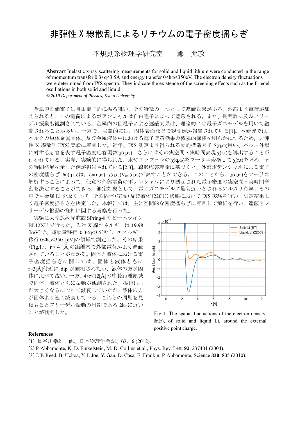## 非弾性 X 線散乱によるリチウムの電子密度揺らぎ

不規則系物理学研究室 鄭 允敦

**Abstract** Inelastic x-ray scattering measurements for solid and liquid lithium were conducted in the range of momentum transfer  $0.3 \leq q \leq 3.5$ Å and energy transfer  $0 \leq h\omega \leq 350$  eV. The electron density fluctuations were determined from IXS spectra. They indicate the existence of the screening effects such as the Friedel oscillations in both solid and liquid.

*© 2019 Department of Physics, Kyoto University* 

金属中の価電子は自由電子的に振る舞い、その特徴の一つとして遮蔽効果がある。外部より電荷が加 えられると、この電荷によるポテンシャルは自由電子によって遮蔽される。また、長距離に及ぶフリー デル振動も観測されている。金属内の価電子による遮蔽効果は、理論的には電子ガスモデルを用いて議 論されることが多い。一方で、実験的には、固体表面などで観測例が報告されている[1]。本研究では、 バルクの単体金属固体、及び金属液体中における電子遮蔽効果の微視的様相を明らかにするため,非弾 性 X 線散乱(IXS)実験に着目した。近年、IXS 測定より得られる動的構造因子 S(q,ω)用い、パルス外場 に対する応答を表す電子密度応答関数 χ(q,ω), さらにはその実空間・実時間表現 χ(r,t)を導出することが 行われている。実際,実験的に得られた、水やグラフェンの χ(q,ω)をフーリエ変換して χ(r,t)を求め,そ の時間発展を示した例が報告されている[2,3]。線形応答理論に基づくと、外部ポテンシャルによる電子 の密度揺らぎ δn(q,ω)は,δn(q,ω)=χ(q,ω)Vext(q,ω)で表すことができる。このことから、χ(q,ω)をフーリエ 解析することによって,任意の外部電荷のポテンシャルにより誘起された電子密度の実空間・実時間挙 動を決定することができる。測定対象として,電子ガスモデルに最も近いとされるアルカリ金属、その 中でも金属 Li を取り上げ, その固体(室温)及び液体(220℃)状態において IXS 実験を行い, 測定結果よ り電子密度揺らぎを決定した。本報告では、主に空間的な密度揺らぎに着目して解析を行い、遮蔽とフ リーデル振動の様相に関する考察を行った。

実験は大型放射光施設SPring-8のビームライン BL12XU で行った。入射 X 線エネルギーは 19.98 [keV]で、運動量移行 0.3<q<3.5[Å-1]、エネルギー 移行 0<ħω<350 [eV]の領域で測定した。その結果 (Fig.1)、r < 4 [Å]の距離内で外部電荷がよく遮蔽 されていることがわかる。固体と液体における電 子密度揺らぎに関しては、固体と液体ともに r~3[Å]付近に dip が観測されたが、液体の方が固 体に比べて浅い。一方、4<r<12[Å]の中長距離領域 で固体、液体ともに振動が観測された。振幅は r が大きくなるにつれて減衰していたが、液体の方 が固体より速く減衰している。これらの周期を見 積もるとフリーデル振動の周期である 2kFに近い ことが判明した。



Fig.1. The spatial fluctuations of the electron density, δn(r), of solid and liquid Li, around the external positive point charge.

#### **References**

- [1] 長谷川幸雄 他、日本物理学会誌、**67**、6 (2012).
- [2] P. Abbamonte, K. D. Finkelstein, M. D. Collins et al., Phys. Rev. Lett. **92**, 237401 (2004).
- [3] J. P. Reed, B. Uchoa, Y. I. Joe, Y. Gan, D. Casa, E. Fradkin, P. Abbamonte, Science **330**, 805 (2010).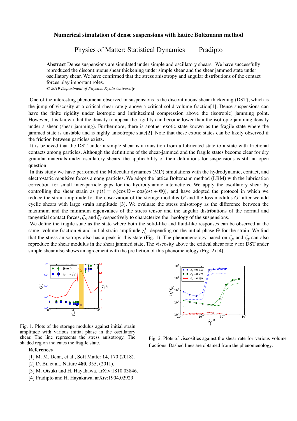#### **Numerical simulation of dense suspensions with lattice Boltzmann method**

### Physics of Matter: Statistical Dynamics Pradipto

**Abstract** Dense suspensions are simulated under simple and oscillatory shears. We have successfully reproduced the discontinuous shear thickening under simple shear and the shear jammed state under oscillatory shear. We have confirmed that the stress anisotropy and angular distributions of the contact forces play important roles.

*© 2019 Department of Physics, Kyoto University* 

One of the interesting phenomena observed in suspensions is the discontinuous shear thickening (DST), which is the jump of viscosity at a critical shear rate  $\dot{\gamma}$  above a critical solid volume fraction[1]. Dense suspensions can have the finite rigidity under isotropic and infinitesimal compression above the (isotropic) jamming point. However, it is known that the density to appear the rigidity can become lower than the isotropic jamming density under a shear (shear jamming). Furthermore, there is another exotic state known as the fragile state where the jammed state is unstable and is highly anisotropic state[2]. Note that these exotic states can be likely observed if the friction between particles exists.

 It is believed that the DST under a simple shear is a transition from a lubricated state to a state with frictional contacts among particles. Although the definitions of the shear-jammed and the fragile states become clear for dry granular materials under oscillatory shears, the applicability of their definitions for suspensions is still an open question.

 In this study we have performed the Molecular dynamics (MD) simulations with the hydrodynamic, contact, and electrostatic repulsive forces among particles. We adopt the lattice Boltzmann method (LBM) with the lubrication correction for small inter-particle gaps for the hydrodynamic interactions. We apply the oscillatory shear by controlling the shear strain as  $\gamma(t) = \gamma_0[\cos\Theta - \cos(\omega t + \Theta)]$ , and have adopted the protocol in which we reduce the strain amplitude for the observation of the storage modulus  $G'$  and the loss modulus  $G''$  after we add cyclic shears with large strain amplitude [3]. We evaluate the stress anisotropy as the difference between the maximum and the minimum eigenvalues of the stress tensor and the angular distributions of the normal and tangential contact forces,  $\zeta_N$  and  $\zeta_T$  respectively to characterize the rheology of the suspensions.

 We define the fragile state as the state where both the solid-like and fluid-like responses can be observed at the same volume fraction  $\phi$  and initial strain amplitude  $\gamma_0^I$  depending on the initial phase  $\Theta$  for the strain. We find that the stress anisotropy also has a peak in this state (Fig. 1). The phenomenology based on  $\zeta_N$  and  $\zeta_T$  can also reproduce the shear modulus in the shear iammed state. The viscosity above the critical shear rate reproduce the shear modulus in the shear jammed state. The viscosity above the critical shear rate *γ* for DST under simple shear also shows an agreement with the prediction of this phenomenology (Fig. 2) [4].



 $10$  $= 0.593$  $\phi_2$  $\phi_2 = 0.562$  $10<sup>1</sup>$  $\phi_3 = 0.499$  $\sum_{\alpha=1}^{\infty}10^2$ 10  $10<sub>1</sub>$  $\overline{10}$ ᆏ  $\dot{\gamma}$ 

Fig. 1. Plots of the storage modulus against initial strain amplitude with various initial phase in the oscillatory shear. The line represents the stress anisotropy. The

#### **References**

- [1] M. M. Denn, et al., Soft Matter **14**, 170 (2018).
- [2] D. Bi, et al., Nature **480**, 355, (2011).
- [3] M. Otsuki and H. Hayakawa, arXiv:1810.03846.
- [4] Pradipto and H. Hayakawa, arXiv:1904.02929

shear. The line represents the stress anisotropy. The Fig. 2. Plots of viscosities against the shear rate for various volume shaded region indicates the fragile state. fractions. Dashed lines are obtained from the phenomenology.